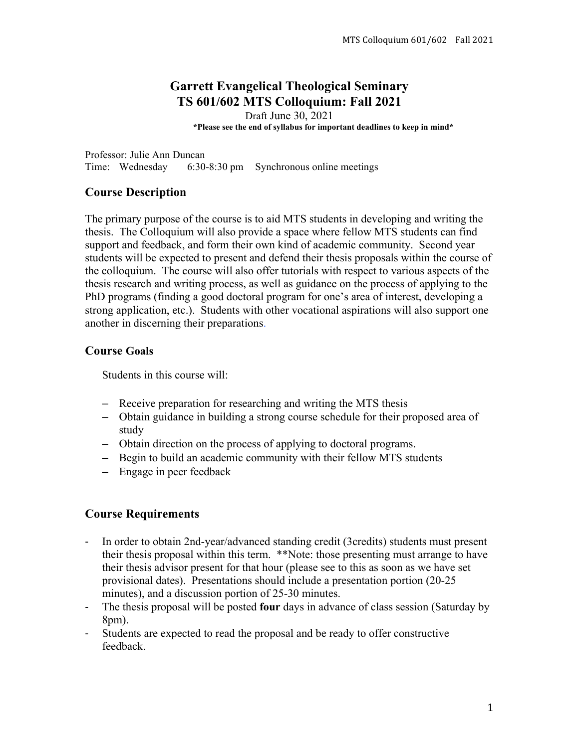# **Garrett Evangelical Theological Seminary TS 601/602 MTS Colloquium: Fall 2021**

Draft June 30, 2021 **\*Please see the end of syllabus for important deadlines to keep in mind\***

Professor: Julie Ann Duncan Time: Wednesday 6:30-8:30 pm Synchronous online meetings

## **Course Description**

The primary purpose of the course is to aid MTS students in developing and writing the thesis. The Colloquium will also provide a space where fellow MTS students can find support and feedback, and form their own kind of academic community. Second year students will be expected to present and defend their thesis proposals within the course of the colloquium. The course will also offer tutorials with respect to various aspects of the thesis research and writing process, as well as guidance on the process of applying to the PhD programs (finding a good doctoral program for one's area of interest, developing a strong application, etc.). Students with other vocational aspirations will also support one another in discerning their preparations.

## **Course Goals**

Students in this course will:

- **–** Receive preparation for researching and writing the MTS thesis
- **–** Obtain guidance in building a strong course schedule for their proposed area of study
- **–** Obtain direction on the process of applying to doctoral programs.
- **–** Begin to build an academic community with their fellow MTS students
- **–** Engage in peer feedback

## **Course Requirements**

- <sup>3</sup> In order to obtain 2nd-year/advanced standing credit (3credits) students must present their thesis proposal within this term. \*\*Note: those presenting must arrange to have their thesis advisor present for that hour (please see to this as soon as we have set provisional dates). Presentations should include a presentation portion (20-25 minutes), and a discussion portion of 25-30 minutes.
- 3 The thesis proposal will be posted **four** days in advance of class session (Saturday by 8pm).
- <sup>3</sup> Students are expected to read the proposal and be ready to offer constructive feedback.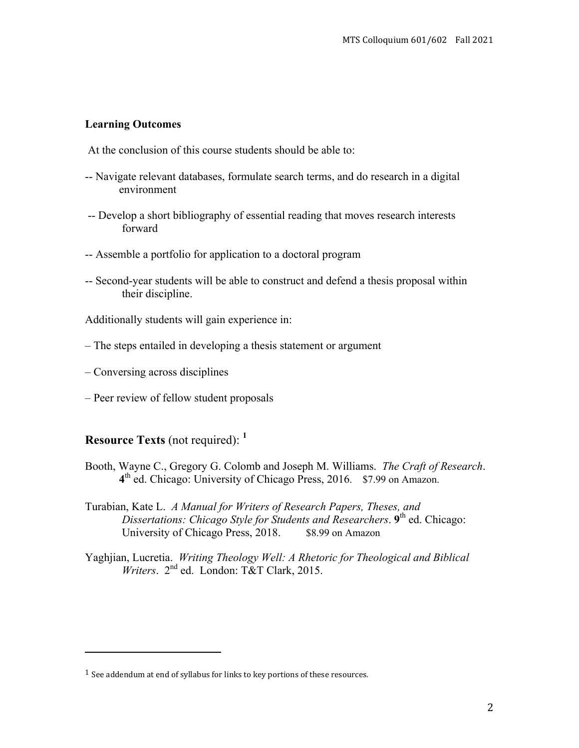#### **Learning Outcomes**

At the conclusion of this course students should be able to:

- -- Navigate relevant databases, formulate search terms, and do research in a digital environment
- -- Develop a short bibliography of essential reading that moves research interests forward
- -- Assemble a portfolio for application to a doctoral program
- -- Second-year students will be able to construct and defend a thesis proposal within their discipline.
- Additionally students will gain experience in:
- The steps entailed in developing a thesis statement or argument
- Conversing across disciplines
- Peer review of fellow student proposals

## **Resource Texts** (not required):  $<sup>1</sup>$ </sup>

- Booth, Wayne C., Gregory G. Colomb and Joseph M. Williams. The Craft of Research.  $4<sup>th</sup>$  ed. Chicago: University of Chicago Press, 2016. \$7.99 on Amazon.
- Turabian, Kate L. A Manual for Writers of Research Papers, Theses, and Dissertations: Chicago Style for Students and Researchers. 9<sup>th</sup> ed. Chicago: University of Chicago Press, 2018. \$8.99 on Amazon
- Yaghjian, Lucretia. Writing Theology Well: A Rhetoric for Theological and Biblical Writers.  $2^{nd}$  ed. London: T&T Clark, 2015.

 $1$  See addendum at end of syllabus for links to key portions of these resources.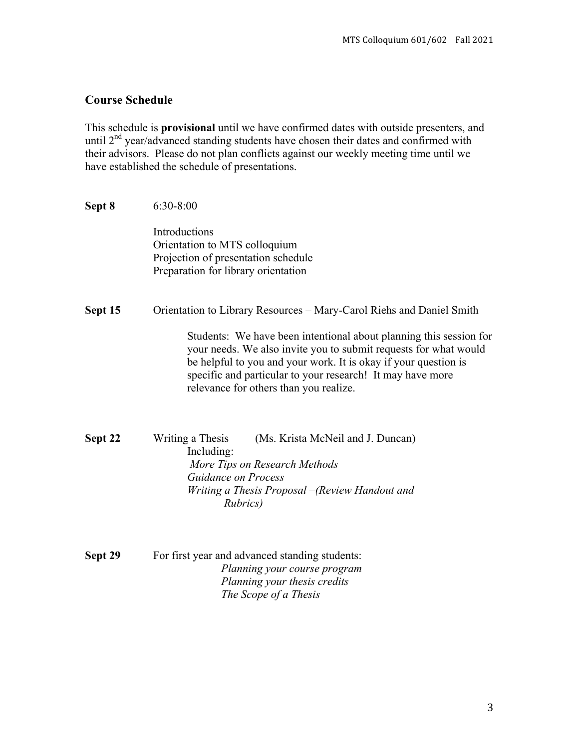### **Course Schedule**

This schedule is **provisional** until we have confirmed dates with outside presenters, and until  $2<sup>nd</sup>$  year/advanced standing students have chosen their dates and confirmed with their advisors. Please do not plan conflicts against our weekly meeting time until we have established the schedule of presentations.

#### **Sept 8** 6:30-8:00

Introductions Orientation to MTS colloquium Projection of presentation schedule Preparation for library orientation

#### **Sept 15** Orientation to Library Resources – Mary-Carol Riehs and Daniel Smith

Students: We have been intentional about planning this session for your needs. We also invite you to submit requests for what would be helpful to you and your work. It is okay if your question is specific and particular to your research! It may have more relevance for others than you realize.

**Sept 22** Writing a Thesis (Ms. Krista McNeil and J. Duncan) Including: *More Tips on Research Methods Guidance on Process Writing a Thesis Proposal –(Review Handout and Rubrics)*

**Sept 29** For first year and advanced standing students: *Planning your course program Planning your thesis credits The Scope of a Thesis*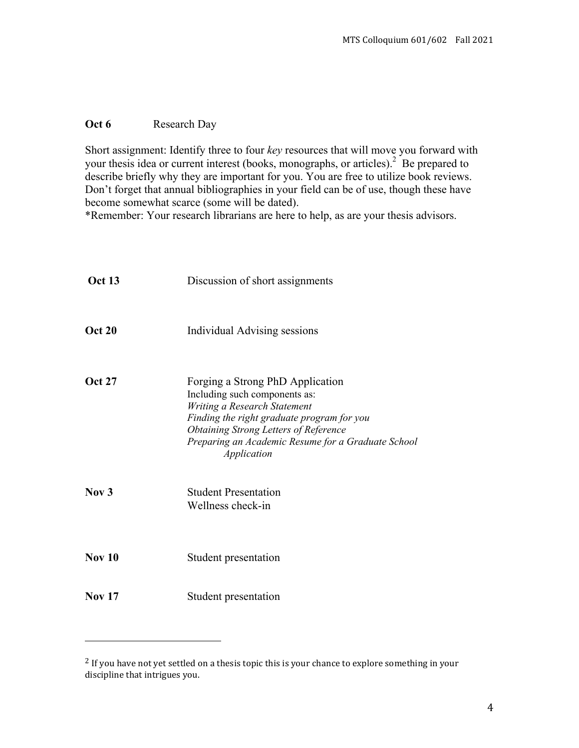#### Oct 6 Research Day

Short assignment: Identify three to four key resources that will move you forward with your thesis idea or current interest (books, monographs, or articles).<sup>2</sup> Be prepared to describe briefly why they are important for you. You are free to utilize book reviews. Don't forget that annual bibliographies in your field can be of use, though these have become somewhat scarce (some will be dated).

\*Remember: Your research librarians are here to help, as are your thesis advisors.

| <b>Oct 13</b> | Discussion of short assignments                                                                                                                                                                                                                                      |
|---------------|----------------------------------------------------------------------------------------------------------------------------------------------------------------------------------------------------------------------------------------------------------------------|
| <b>Oct 20</b> | Individual Advising sessions                                                                                                                                                                                                                                         |
| <b>Oct 27</b> | Forging a Strong PhD Application<br>Including such components as:<br>Writing a Research Statement<br>Finding the right graduate program for you<br><b>Obtaining Strong Letters of Reference</b><br>Preparing an Academic Resume for a Graduate School<br>Application |
| Now 3         | <b>Student Presentation</b><br>Wellness check-in                                                                                                                                                                                                                     |
| <b>Nov 10</b> | Student presentation                                                                                                                                                                                                                                                 |
| <b>Nov 17</b> | Student presentation                                                                                                                                                                                                                                                 |

<sup>&</sup>lt;sup>2</sup> If you have not yet settled on a thesis topic this is your chance to explore something in your discipline that intrigues you.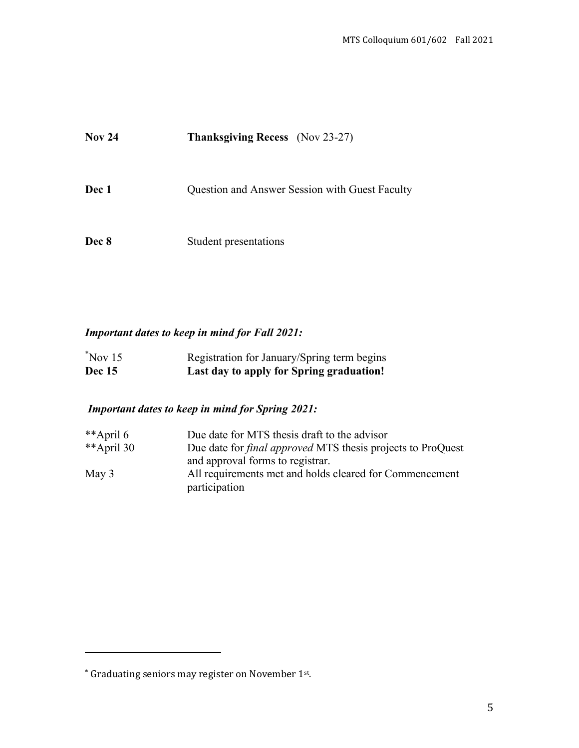| <b>Nov 24</b> | <b>Thanksgiving Recess</b> (Nov 23-27)         |
|---------------|------------------------------------------------|
| Dec 1         | Question and Answer Session with Guest Faculty |
| Dec 8         | Student presentations                          |

## **Important dates to keep in mind for Fall 2021:**

| $Nov$ 15<br><b>Dec</b> 15 | Registration for January/Spring term begins |
|---------------------------|---------------------------------------------|
|                           | Last day to apply for Spring graduation!    |

# **Important dates to keep in mind for Spring 2021:**

| **April 6  | Due date for MTS thesis draft to the advisor                       |
|------------|--------------------------------------------------------------------|
| **April 30 | Due date for <i>final approved</i> MTS thesis projects to ProQuest |
|            | and approval forms to registrar.                                   |
| May $3$    | All requirements met and holds cleared for Commencement            |
|            | participation                                                      |

<u> 1999 - Jan Barbara Barat III, marka basa</u>

<sup>\*</sup> Graduating seniors may register on November 1st.